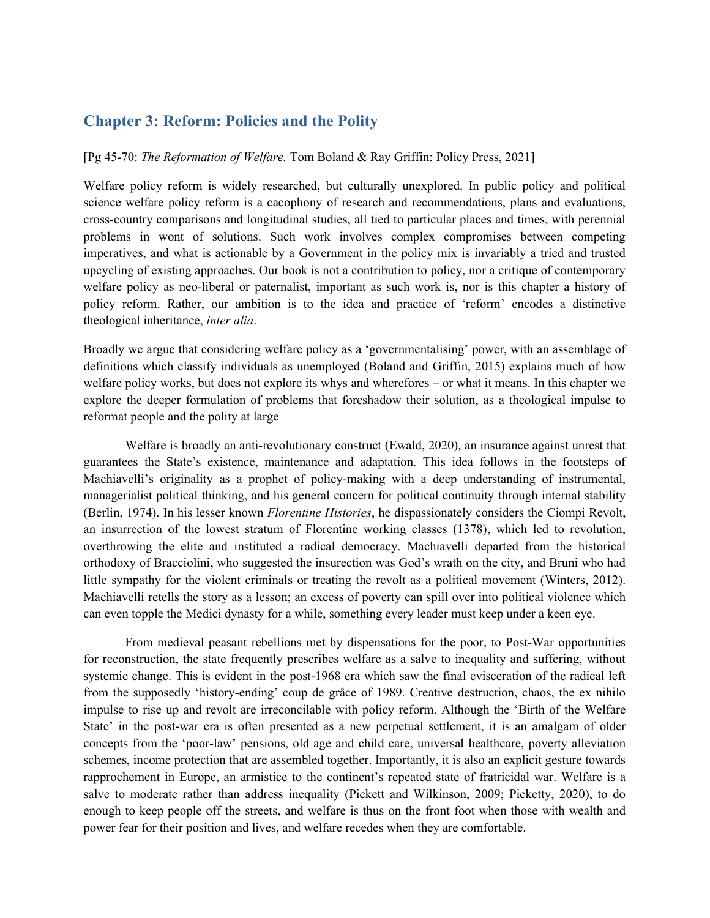# Chapter 3: Reform: Policies and the Polity

### [Pg 45-70: The Reformation of Welfare. Tom Boland & Ray Griffin: Policy Press, 2021]

Welfare policy reform is widely researched, but culturally unexplored. In public policy and political science welfare policy reform is a cacophony of research and recommendations, plans and evaluations, cross-country comparisons and longitudinal studies, all tied to particular places and times, with perennial problems in wont of solutions. Such work involves complex compromises between competing imperatives, and what is actionable by a Government in the policy mix is invariably a tried and trusted upcycling of existing approaches. Our book is not a contribution to policy, nor a critique of contemporary welfare policy as neo-liberal or paternalist, important as such work is, nor is this chapter a history of policy reform. Rather, our ambition is to the idea and practice of 'reform' encodes a distinctive theological inheritance, inter alia.

Broadly we argue that considering welfare policy as a 'governmentalising' power, with an assemblage of definitions which classify individuals as unemployed (Boland and Griffin, 2015) explains much of how welfare policy works, but does not explore its whys and wherefores – or what it means. In this chapter we explore the deeper formulation of problems that foreshadow their solution, as a theological impulse to reformat people and the polity at large

Welfare is broadly an anti-revolutionary construct (Ewald, 2020), an insurance against unrest that guarantees the State's existence, maintenance and adaptation. This idea follows in the footsteps of Machiavelli's originality as a prophet of policy-making with a deep understanding of instrumental, managerialist political thinking, and his general concern for political continuity through internal stability (Berlin, 1974). In his lesser known Florentine Histories, he dispassionately considers the Ciompi Revolt, an insurrection of the lowest stratum of Florentine working classes (1378), which led to revolution, overthrowing the elite and instituted a radical democracy. Machiavelli departed from the historical orthodoxy of Bracciolini, who suggested the insurection was God's wrath on the city, and Bruni who had little sympathy for the violent criminals or treating the revolt as a political movement (Winters, 2012). Machiavelli retells the story as a lesson; an excess of poverty can spill over into political violence which can even topple the Medici dynasty for a while, something every leader must keep under a keen eye.

From medieval peasant rebellions met by dispensations for the poor, to Post-War opportunities for reconstruction, the state frequently prescribes welfare as a salve to inequality and suffering, without systemic change. This is evident in the post-1968 era which saw the final evisceration of the radical left from the supposedly 'history-ending' coup de grâce of 1989. Creative destruction, chaos, the ex nihilo impulse to rise up and revolt are irreconcilable with policy reform. Although the 'Birth of the Welfare State' in the post-war era is often presented as a new perpetual settlement, it is an amalgam of older concepts from the 'poor-law' pensions, old age and child care, universal healthcare, poverty alleviation schemes, income protection that are assembled together. Importantly, it is also an explicit gesture towards rapprochement in Europe, an armistice to the continent's repeated state of fratricidal war. Welfare is a salve to moderate rather than address inequality (Pickett and Wilkinson, 2009; Picketty, 2020), to do enough to keep people off the streets, and welfare is thus on the front foot when those with wealth and power fear for their position and lives, and welfare recedes when they are comfortable.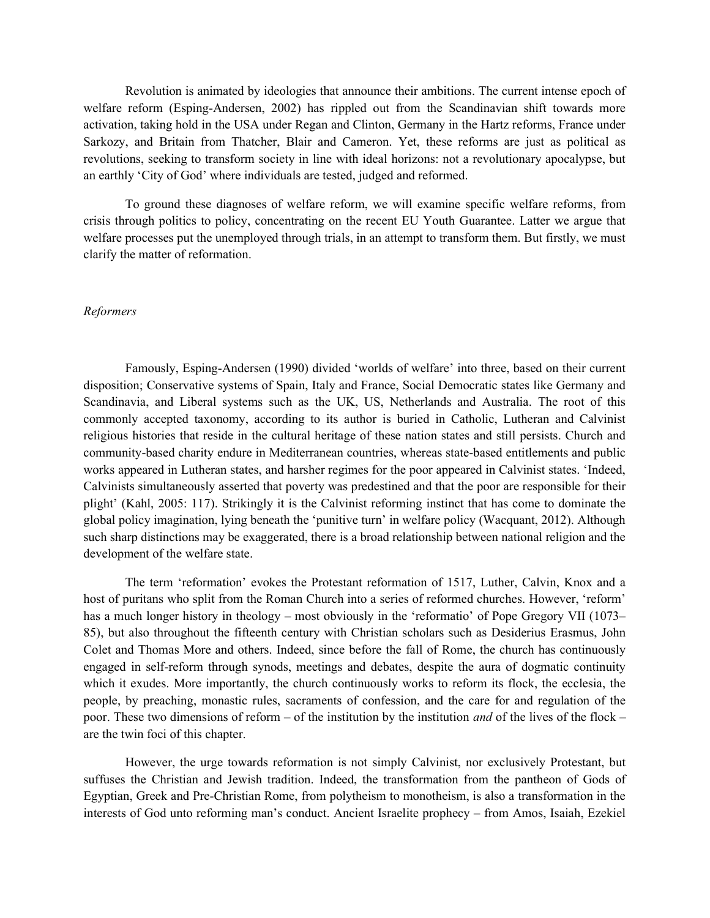Revolution is animated by ideologies that announce their ambitions. The current intense epoch of welfare reform (Esping-Andersen, 2002) has rippled out from the Scandinavian shift towards more activation, taking hold in the USA under Regan and Clinton, Germany in the Hartz reforms, France under Sarkozy, and Britain from Thatcher, Blair and Cameron. Yet, these reforms are just as political as revolutions, seeking to transform society in line with ideal horizons: not a revolutionary apocalypse, but an earthly 'City of God' where individuals are tested, judged and reformed.

 To ground these diagnoses of welfare reform, we will examine specific welfare reforms, from crisis through politics to policy, concentrating on the recent EU Youth Guarantee. Latter we argue that welfare processes put the unemployed through trials, in an attempt to transform them. But firstly, we must clarify the matter of reformation.

#### Reformers

Famously, Esping-Andersen (1990) divided 'worlds of welfare' into three, based on their current disposition; Conservative systems of Spain, Italy and France, Social Democratic states like Germany and Scandinavia, and Liberal systems such as the UK, US, Netherlands and Australia. The root of this commonly accepted taxonomy, according to its author is buried in Catholic, Lutheran and Calvinist religious histories that reside in the cultural heritage of these nation states and still persists. Church and community-based charity endure in Mediterranean countries, whereas state-based entitlements and public works appeared in Lutheran states, and harsher regimes for the poor appeared in Calvinist states. 'Indeed, Calvinists simultaneously asserted that poverty was predestined and that the poor are responsible for their plight' (Kahl, 2005: 117). Strikingly it is the Calvinist reforming instinct that has come to dominate the global policy imagination, lying beneath the 'punitive turn' in welfare policy (Wacquant, 2012). Although such sharp distinctions may be exaggerated, there is a broad relationship between national religion and the development of the welfare state.

The term 'reformation' evokes the Protestant reformation of 1517, Luther, Calvin, Knox and a host of puritans who split from the Roman Church into a series of reformed churches. However, 'reform' has a much longer history in theology – most obviously in the 'reformatio' of Pope Gregory VII (1073– 85), but also throughout the fifteenth century with Christian scholars such as Desiderius Erasmus, John Colet and Thomas More and others. Indeed, since before the fall of Rome, the church has continuously engaged in self-reform through synods, meetings and debates, despite the aura of dogmatic continuity which it exudes. More importantly, the church continuously works to reform its flock, the ecclesia, the people, by preaching, monastic rules, sacraments of confession, and the care for and regulation of the poor. These two dimensions of reform – of the institution by the institution and of the lives of the flock – are the twin foci of this chapter.

However, the urge towards reformation is not simply Calvinist, nor exclusively Protestant, but suffuses the Christian and Jewish tradition. Indeed, the transformation from the pantheon of Gods of Egyptian, Greek and Pre-Christian Rome, from polytheism to monotheism, is also a transformation in the interests of God unto reforming man's conduct. Ancient Israelite prophecy – from Amos, Isaiah, Ezekiel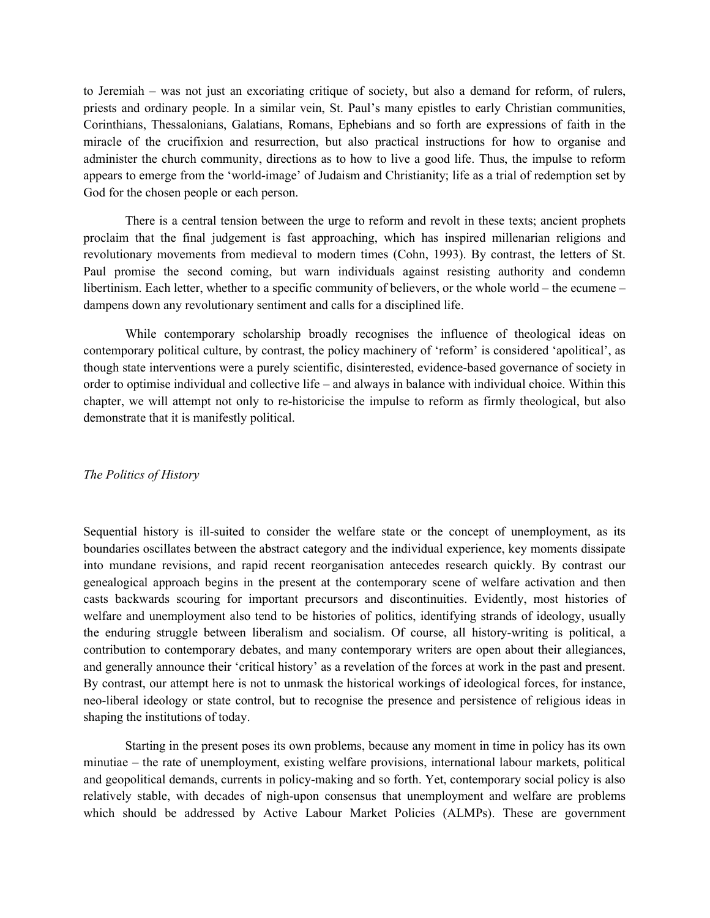to Jeremiah – was not just an excoriating critique of society, but also a demand for reform, of rulers, priests and ordinary people. In a similar vein, St. Paul's many epistles to early Christian communities, Corinthians, Thessalonians, Galatians, Romans, Ephebians and so forth are expressions of faith in the miracle of the crucifixion and resurrection, but also practical instructions for how to organise and administer the church community, directions as to how to live a good life. Thus, the impulse to reform appears to emerge from the 'world-image' of Judaism and Christianity; life as a trial of redemption set by God for the chosen people or each person.

There is a central tension between the urge to reform and revolt in these texts; ancient prophets proclaim that the final judgement is fast approaching, which has inspired millenarian religions and revolutionary movements from medieval to modern times (Cohn, 1993). By contrast, the letters of St. Paul promise the second coming, but warn individuals against resisting authority and condemn libertinism. Each letter, whether to a specific community of believers, or the whole world – the ecumene – dampens down any revolutionary sentiment and calls for a disciplined life.

While contemporary scholarship broadly recognises the influence of theological ideas on contemporary political culture, by contrast, the policy machinery of 'reform' is considered 'apolitical', as though state interventions were a purely scientific, disinterested, evidence-based governance of society in order to optimise individual and collective life – and always in balance with individual choice. Within this chapter, we will attempt not only to re-historicise the impulse to reform as firmly theological, but also demonstrate that it is manifestly political.

### The Politics of History

Sequential history is ill-suited to consider the welfare state or the concept of unemployment, as its boundaries oscillates between the abstract category and the individual experience, key moments dissipate into mundane revisions, and rapid recent reorganisation antecedes research quickly. By contrast our genealogical approach begins in the present at the contemporary scene of welfare activation and then casts backwards scouring for important precursors and discontinuities. Evidently, most histories of welfare and unemployment also tend to be histories of politics, identifying strands of ideology, usually the enduring struggle between liberalism and socialism. Of course, all history-writing is political, a contribution to contemporary debates, and many contemporary writers are open about their allegiances, and generally announce their 'critical history' as a revelation of the forces at work in the past and present. By contrast, our attempt here is not to unmask the historical workings of ideological forces, for instance, neo-liberal ideology or state control, but to recognise the presence and persistence of religious ideas in shaping the institutions of today.

Starting in the present poses its own problems, because any moment in time in policy has its own minutiae – the rate of unemployment, existing welfare provisions, international labour markets, political and geopolitical demands, currents in policy-making and so forth. Yet, contemporary social policy is also relatively stable, with decades of nigh-upon consensus that unemployment and welfare are problems which should be addressed by Active Labour Market Policies (ALMPs). These are government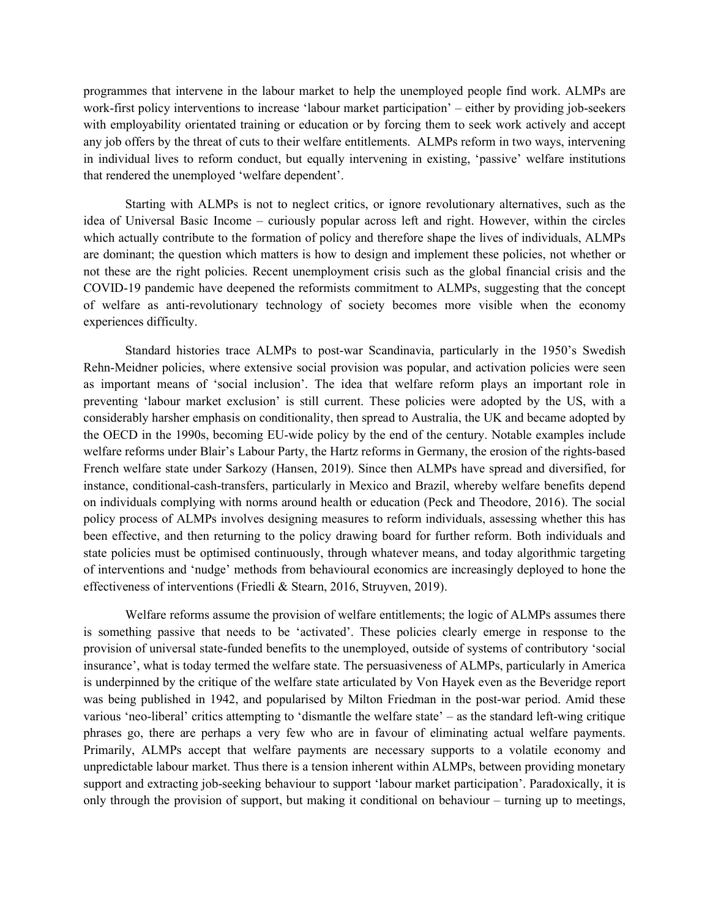programmes that intervene in the labour market to help the unemployed people find work. ALMPs are work-first policy interventions to increase 'labour market participation' – either by providing job-seekers with employability orientated training or education or by forcing them to seek work actively and accept any job offers by the threat of cuts to their welfare entitlements. ALMPs reform in two ways, intervening in individual lives to reform conduct, but equally intervening in existing, 'passive' welfare institutions that rendered the unemployed 'welfare dependent'.

 Starting with ALMPs is not to neglect critics, or ignore revolutionary alternatives, such as the idea of Universal Basic Income – curiously popular across left and right. However, within the circles which actually contribute to the formation of policy and therefore shape the lives of individuals, ALMPs are dominant; the question which matters is how to design and implement these policies, not whether or not these are the right policies. Recent unemployment crisis such as the global financial crisis and the COVID-19 pandemic have deepened the reformists commitment to ALMPs, suggesting that the concept of welfare as anti-revolutionary technology of society becomes more visible when the economy experiences difficulty.

Standard histories trace ALMPs to post-war Scandinavia, particularly in the 1950's Swedish Rehn-Meidner policies, where extensive social provision was popular, and activation policies were seen as important means of 'social inclusion'. The idea that welfare reform plays an important role in preventing 'labour market exclusion' is still current. These policies were adopted by the US, with a considerably harsher emphasis on conditionality, then spread to Australia, the UK and became adopted by the OECD in the 1990s, becoming EU-wide policy by the end of the century. Notable examples include welfare reforms under Blair's Labour Party, the Hartz reforms in Germany, the erosion of the rights-based French welfare state under Sarkozy (Hansen, 2019). Since then ALMPs have spread and diversified, for instance, conditional-cash-transfers, particularly in Mexico and Brazil, whereby welfare benefits depend on individuals complying with norms around health or education (Peck and Theodore, 2016). The social policy process of ALMPs involves designing measures to reform individuals, assessing whether this has been effective, and then returning to the policy drawing board for further reform. Both individuals and state policies must be optimised continuously, through whatever means, and today algorithmic targeting of interventions and 'nudge' methods from behavioural economics are increasingly deployed to hone the effectiveness of interventions (Friedli & Stearn, 2016, Struyven, 2019).

Welfare reforms assume the provision of welfare entitlements; the logic of ALMPs assumes there is something passive that needs to be 'activated'. These policies clearly emerge in response to the provision of universal state-funded benefits to the unemployed, outside of systems of contributory 'social insurance', what is today termed the welfare state. The persuasiveness of ALMPs, particularly in America is underpinned by the critique of the welfare state articulated by Von Hayek even as the Beveridge report was being published in 1942, and popularised by Milton Friedman in the post-war period. Amid these various 'neo-liberal' critics attempting to 'dismantle the welfare state' – as the standard left-wing critique phrases go, there are perhaps a very few who are in favour of eliminating actual welfare payments. Primarily, ALMPs accept that welfare payments are necessary supports to a volatile economy and unpredictable labour market. Thus there is a tension inherent within ALMPs, between providing monetary support and extracting job-seeking behaviour to support 'labour market participation'. Paradoxically, it is only through the provision of support, but making it conditional on behaviour – turning up to meetings,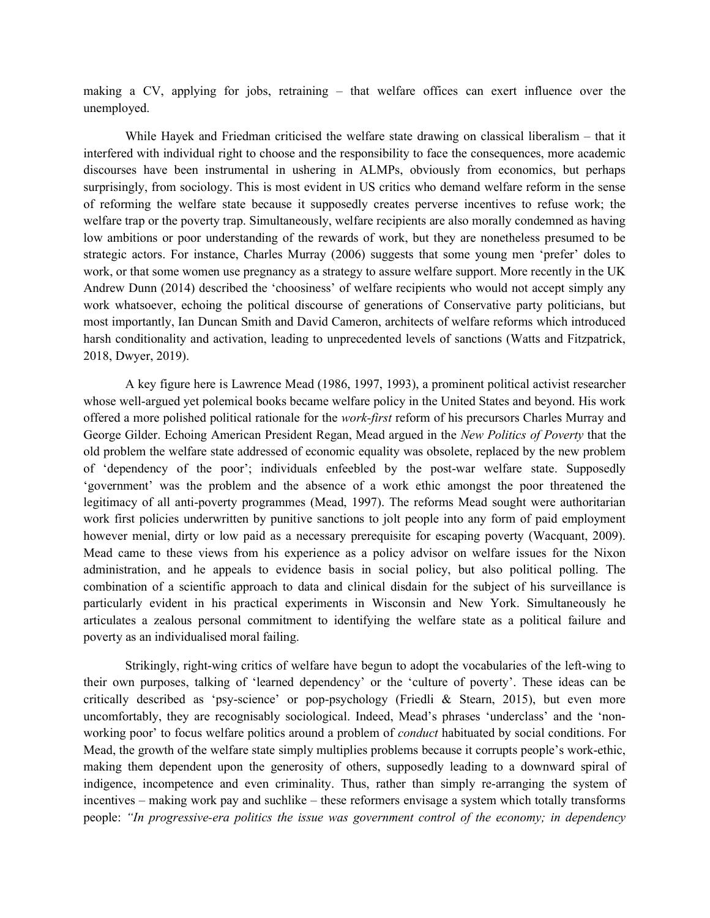making a CV, applying for jobs, retraining – that welfare offices can exert influence over the unemployed.

While Hayek and Friedman criticised the welfare state drawing on classical liberalism – that it interfered with individual right to choose and the responsibility to face the consequences, more academic discourses have been instrumental in ushering in ALMPs, obviously from economics, but perhaps surprisingly, from sociology. This is most evident in US critics who demand welfare reform in the sense of reforming the welfare state because it supposedly creates perverse incentives to refuse work; the welfare trap or the poverty trap. Simultaneously, welfare recipients are also morally condemned as having low ambitions or poor understanding of the rewards of work, but they are nonetheless presumed to be strategic actors. For instance, Charles Murray (2006) suggests that some young men 'prefer' doles to work, or that some women use pregnancy as a strategy to assure welfare support. More recently in the UK Andrew Dunn (2014) described the 'choosiness' of welfare recipients who would not accept simply any work whatsoever, echoing the political discourse of generations of Conservative party politicians, but most importantly, Ian Duncan Smith and David Cameron, architects of welfare reforms which introduced harsh conditionality and activation, leading to unprecedented levels of sanctions (Watts and Fitzpatrick, 2018, Dwyer, 2019).

A key figure here is Lawrence Mead (1986, 1997, 1993), a prominent political activist researcher whose well-argued yet polemical books became welfare policy in the United States and beyond. His work offered a more polished political rationale for the *work-first* reform of his precursors Charles Murray and George Gilder. Echoing American President Regan, Mead argued in the New Politics of Poverty that the old problem the welfare state addressed of economic equality was obsolete, replaced by the new problem of 'dependency of the poor'; individuals enfeebled by the post-war welfare state. Supposedly 'government' was the problem and the absence of a work ethic amongst the poor threatened the legitimacy of all anti-poverty programmes (Mead, 1997). The reforms Mead sought were authoritarian work first policies underwritten by punitive sanctions to jolt people into any form of paid employment however menial, dirty or low paid as a necessary prerequisite for escaping poverty (Wacquant, 2009). Mead came to these views from his experience as a policy advisor on welfare issues for the Nixon administration, and he appeals to evidence basis in social policy, but also political polling. The combination of a scientific approach to data and clinical disdain for the subject of his surveillance is particularly evident in his practical experiments in Wisconsin and New York. Simultaneously he articulates a zealous personal commitment to identifying the welfare state as a political failure and poverty as an individualised moral failing.

Strikingly, right-wing critics of welfare have begun to adopt the vocabularies of the left-wing to their own purposes, talking of 'learned dependency' or the 'culture of poverty'. These ideas can be critically described as 'psy-science' or pop-psychology (Friedli & Stearn, 2015), but even more uncomfortably, they are recognisably sociological. Indeed, Mead's phrases 'underclass' and the 'nonworking poor' to focus welfare politics around a problem of conduct habituated by social conditions. For Mead, the growth of the welfare state simply multiplies problems because it corrupts people's work-ethic, making them dependent upon the generosity of others, supposedly leading to a downward spiral of indigence, incompetence and even criminality. Thus, rather than simply re-arranging the system of incentives – making work pay and suchlike – these reformers envisage a system which totally transforms people: "In progressive-era politics the issue was government control of the economy; in dependency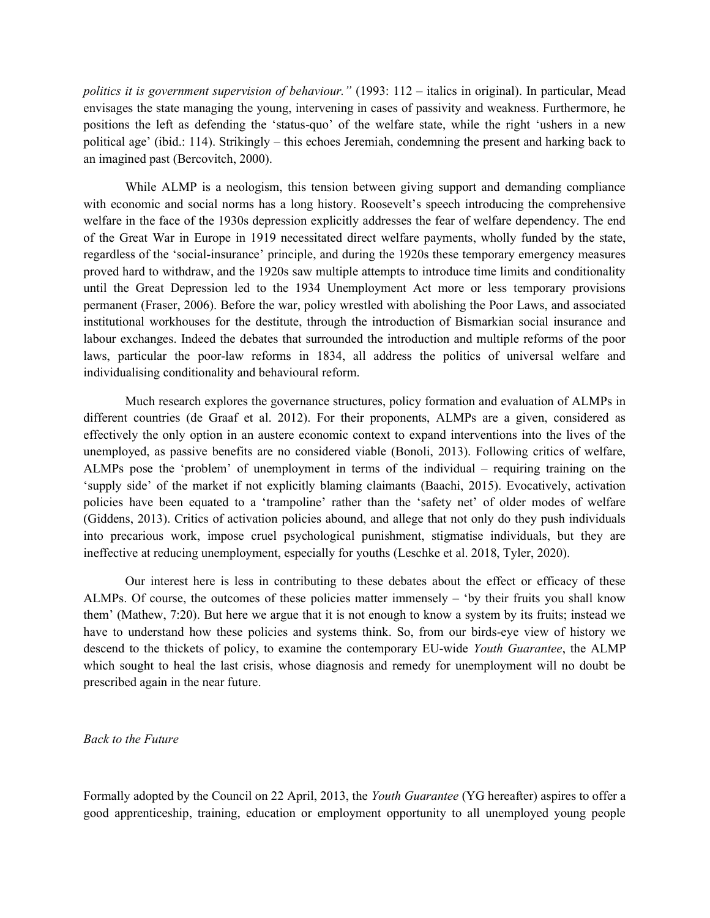politics it is government supervision of behaviour." (1993: 112 – italics in original). In particular, Mead envisages the state managing the young, intervening in cases of passivity and weakness. Furthermore, he positions the left as defending the 'status-quo' of the welfare state, while the right 'ushers in a new political age' (ibid.: 114). Strikingly – this echoes Jeremiah, condemning the present and harking back to an imagined past (Bercovitch, 2000).

While ALMP is a neologism, this tension between giving support and demanding compliance with economic and social norms has a long history. Roosevelt's speech introducing the comprehensive welfare in the face of the 1930s depression explicitly addresses the fear of welfare dependency. The end of the Great War in Europe in 1919 necessitated direct welfare payments, wholly funded by the state, regardless of the 'social-insurance' principle, and during the 1920s these temporary emergency measures proved hard to withdraw, and the 1920s saw multiple attempts to introduce time limits and conditionality until the Great Depression led to the 1934 Unemployment Act more or less temporary provisions permanent (Fraser, 2006). Before the war, policy wrestled with abolishing the Poor Laws, and associated institutional workhouses for the destitute, through the introduction of Bismarkian social insurance and labour exchanges. Indeed the debates that surrounded the introduction and multiple reforms of the poor laws, particular the poor-law reforms in 1834, all address the politics of universal welfare and individualising conditionality and behavioural reform.

Much research explores the governance structures, policy formation and evaluation of ALMPs in different countries (de Graaf et al. 2012). For their proponents, ALMPs are a given, considered as effectively the only option in an austere economic context to expand interventions into the lives of the unemployed, as passive benefits are no considered viable (Bonoli, 2013). Following critics of welfare, ALMPs pose the 'problem' of unemployment in terms of the individual – requiring training on the 'supply side' of the market if not explicitly blaming claimants (Baachi, 2015). Evocatively, activation policies have been equated to a 'trampoline' rather than the 'safety net' of older modes of welfare (Giddens, 2013). Critics of activation policies abound, and allege that not only do they push individuals into precarious work, impose cruel psychological punishment, stigmatise individuals, but they are ineffective at reducing unemployment, especially for youths (Leschke et al. 2018, Tyler, 2020).

Our interest here is less in contributing to these debates about the effect or efficacy of these ALMPs. Of course, the outcomes of these policies matter immensely – 'by their fruits you shall know them' (Mathew, 7:20). But here we argue that it is not enough to know a system by its fruits; instead we have to understand how these policies and systems think. So, from our birds-eye view of history we descend to the thickets of policy, to examine the contemporary EU-wide Youth Guarantee, the ALMP which sought to heal the last crisis, whose diagnosis and remedy for unemployment will no doubt be prescribed again in the near future.

## Back to the Future

Formally adopted by the Council on 22 April, 2013, the Youth Guarantee (YG hereafter) aspires to offer a good apprenticeship, training, education or employment opportunity to all unemployed young people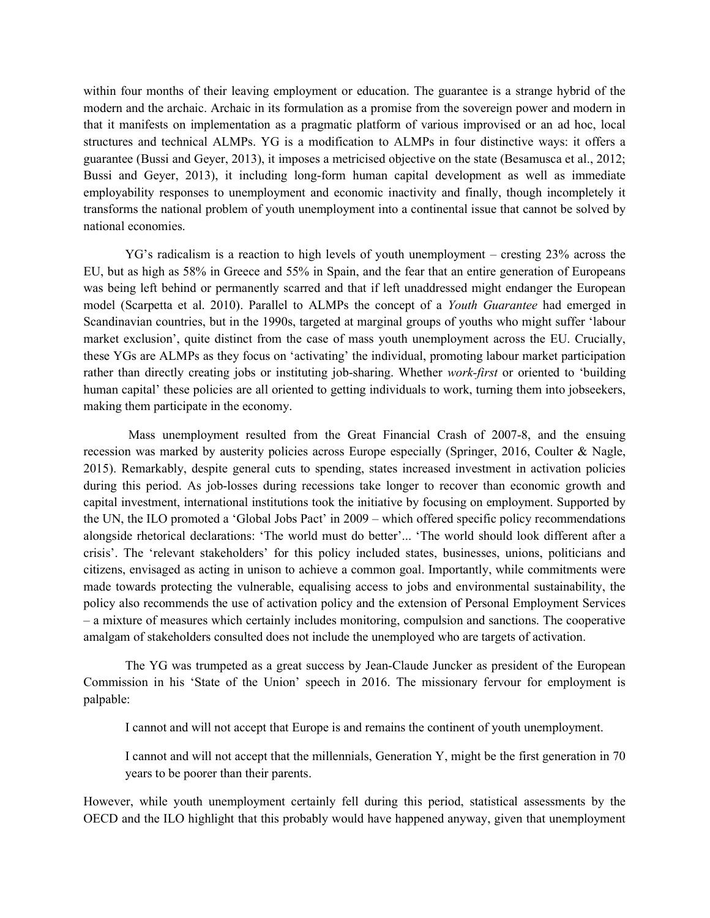within four months of their leaving employment or education. The guarantee is a strange hybrid of the modern and the archaic. Archaic in its formulation as a promise from the sovereign power and modern in that it manifests on implementation as a pragmatic platform of various improvised or an ad hoc, local structures and technical ALMPs. YG is a modification to ALMPs in four distinctive ways: it offers a guarantee (Bussi and Geyer, 2013), it imposes a metricised objective on the state (Besamusca et al., 2012; Bussi and Geyer, 2013), it including long-form human capital development as well as immediate employability responses to unemployment and economic inactivity and finally, though incompletely it transforms the national problem of youth unemployment into a continental issue that cannot be solved by national economies.

YG's radicalism is a reaction to high levels of youth unemployment – cresting 23% across the EU, but as high as 58% in Greece and 55% in Spain, and the fear that an entire generation of Europeans was being left behind or permanently scarred and that if left unaddressed might endanger the European model (Scarpetta et al. 2010). Parallel to ALMPs the concept of a Youth Guarantee had emerged in Scandinavian countries, but in the 1990s, targeted at marginal groups of youths who might suffer 'labour market exclusion', quite distinct from the case of mass youth unemployment across the EU. Crucially, these YGs are ALMPs as they focus on 'activating' the individual, promoting labour market participation rather than directly creating jobs or instituting job-sharing. Whether *work-first* or oriented to 'building human capital' these policies are all oriented to getting individuals to work, turning them into jobseekers, making them participate in the economy.

 Mass unemployment resulted from the Great Financial Crash of 2007-8, and the ensuing recession was marked by austerity policies across Europe especially (Springer, 2016, Coulter & Nagle, 2015). Remarkably, despite general cuts to spending, states increased investment in activation policies during this period. As job-losses during recessions take longer to recover than economic growth and capital investment, international institutions took the initiative by focusing on employment. Supported by the UN, the ILO promoted a 'Global Jobs Pact' in 2009 – which offered specific policy recommendations alongside rhetorical declarations: 'The world must do better'... 'The world should look different after a crisis'. The 'relevant stakeholders' for this policy included states, businesses, unions, politicians and citizens, envisaged as acting in unison to achieve a common goal. Importantly, while commitments were made towards protecting the vulnerable, equalising access to jobs and environmental sustainability, the policy also recommends the use of activation policy and the extension of Personal Employment Services – a mixture of measures which certainly includes monitoring, compulsion and sanctions. The cooperative amalgam of stakeholders consulted does not include the unemployed who are targets of activation.

The YG was trumpeted as a great success by Jean-Claude Juncker as president of the European Commission in his 'State of the Union' speech in 2016. The missionary fervour for employment is palpable:

I cannot and will not accept that Europe is and remains the continent of youth unemployment.

I cannot and will not accept that the millennials, Generation Y, might be the first generation in 70 years to be poorer than their parents.

However, while youth unemployment certainly fell during this period, statistical assessments by the OECD and the ILO highlight that this probably would have happened anyway, given that unemployment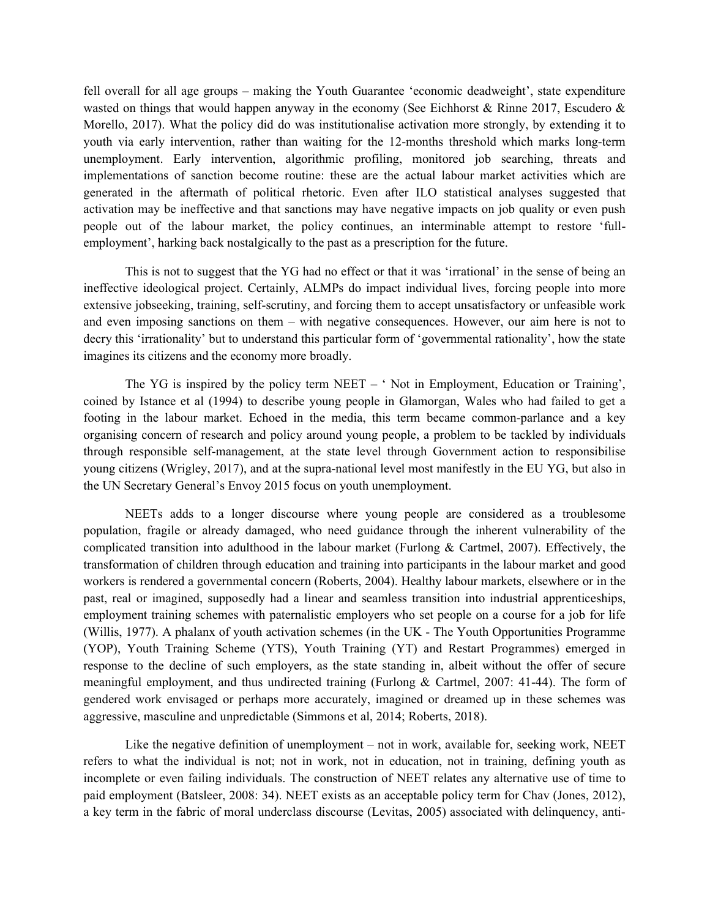fell overall for all age groups – making the Youth Guarantee 'economic deadweight', state expenditure wasted on things that would happen anyway in the economy (See Eichhorst & Rinne 2017, Escudero & Morello, 2017). What the policy did do was institutionalise activation more strongly, by extending it to youth via early intervention, rather than waiting for the 12-months threshold which marks long-term unemployment. Early intervention, algorithmic profiling, monitored job searching, threats and implementations of sanction become routine: these are the actual labour market activities which are generated in the aftermath of political rhetoric. Even after ILO statistical analyses suggested that activation may be ineffective and that sanctions may have negative impacts on job quality or even push people out of the labour market, the policy continues, an interminable attempt to restore 'fullemployment', harking back nostalgically to the past as a prescription for the future.

 This is not to suggest that the YG had no effect or that it was 'irrational' in the sense of being an ineffective ideological project. Certainly, ALMPs do impact individual lives, forcing people into more extensive jobseeking, training, self-scrutiny, and forcing them to accept unsatisfactory or unfeasible work and even imposing sanctions on them – with negative consequences. However, our aim here is not to decry this 'irrationality' but to understand this particular form of 'governmental rationality', how the state imagines its citizens and the economy more broadly.

 The YG is inspired by the policy term NEET – ' Not in Employment, Education or Training', coined by Istance et al (1994) to describe young people in Glamorgan, Wales who had failed to get a footing in the labour market. Echoed in the media, this term became common-parlance and a key organising concern of research and policy around young people, a problem to be tackled by individuals through responsible self-management, at the state level through Government action to responsibilise young citizens (Wrigley, 2017), and at the supra-national level most manifestly in the EU YG, but also in the UN Secretary General's Envoy 2015 focus on youth unemployment.

NEETs adds to a longer discourse where young people are considered as a troublesome population, fragile or already damaged, who need guidance through the inherent vulnerability of the complicated transition into adulthood in the labour market (Furlong & Cartmel, 2007). Effectively, the transformation of children through education and training into participants in the labour market and good workers is rendered a governmental concern (Roberts, 2004). Healthy labour markets, elsewhere or in the past, real or imagined, supposedly had a linear and seamless transition into industrial apprenticeships, employment training schemes with paternalistic employers who set people on a course for a job for life (Willis, 1977). A phalanx of youth activation schemes (in the UK - The Youth Opportunities Programme (YOP), Youth Training Scheme (YTS), Youth Training (YT) and Restart Programmes) emerged in response to the decline of such employers, as the state standing in, albeit without the offer of secure meaningful employment, and thus undirected training (Furlong & Cartmel, 2007: 41-44). The form of gendered work envisaged or perhaps more accurately, imagined or dreamed up in these schemes was aggressive, masculine and unpredictable (Simmons et al, 2014; Roberts, 2018).

Like the negative definition of unemployment – not in work, available for, seeking work, NEET refers to what the individual is not; not in work, not in education, not in training, defining youth as incomplete or even failing individuals. The construction of NEET relates any alternative use of time to paid employment (Batsleer, 2008: 34). NEET exists as an acceptable policy term for Chav (Jones, 2012), a key term in the fabric of moral underclass discourse (Levitas, 2005) associated with delinquency, anti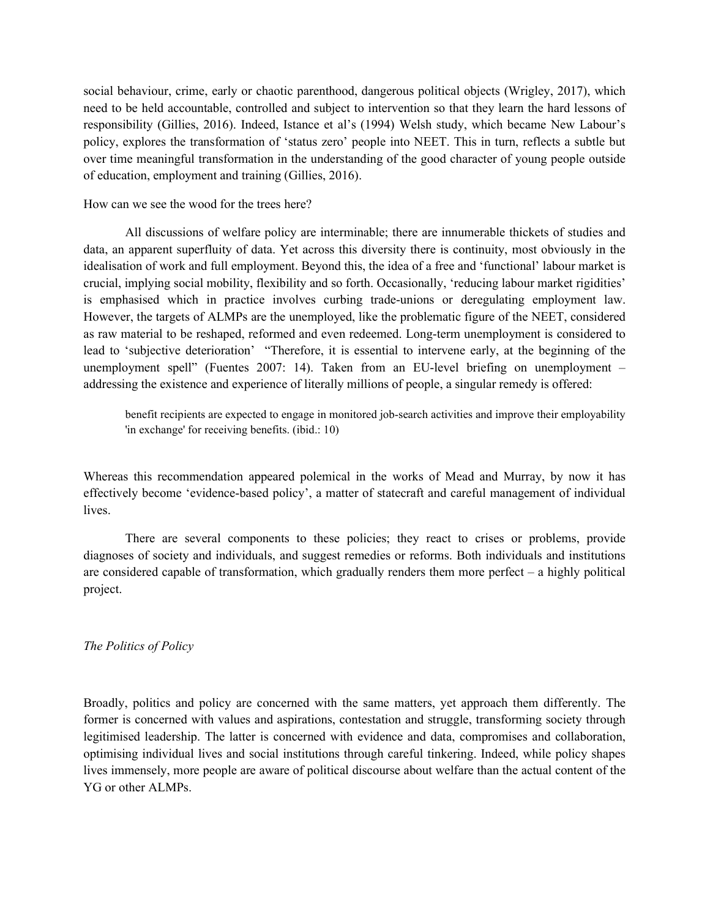social behaviour, crime, early or chaotic parenthood, dangerous political objects (Wrigley, 2017), which need to be held accountable, controlled and subject to intervention so that they learn the hard lessons of responsibility (Gillies, 2016). Indeed, Istance et al's (1994) Welsh study, which became New Labour's policy, explores the transformation of 'status zero' people into NEET. This in turn, reflects a subtle but over time meaningful transformation in the understanding of the good character of young people outside of education, employment and training (Gillies, 2016).

How can we see the wood for the trees here?

All discussions of welfare policy are interminable; there are innumerable thickets of studies and data, an apparent superfluity of data. Yet across this diversity there is continuity, most obviously in the idealisation of work and full employment. Beyond this, the idea of a free and 'functional' labour market is crucial, implying social mobility, flexibility and so forth. Occasionally, 'reducing labour market rigidities' is emphasised which in practice involves curbing trade-unions or deregulating employment law. However, the targets of ALMPs are the unemployed, like the problematic figure of the NEET, considered as raw material to be reshaped, reformed and even redeemed. Long-term unemployment is considered to lead to 'subjective deterioration' "Therefore, it is essential to intervene early, at the beginning of the unemployment spell" (Fuentes 2007: 14). Taken from an EU-level briefing on unemployment – addressing the existence and experience of literally millions of people, a singular remedy is offered:

benefit recipients are expected to engage in monitored job-search activities and improve their employability 'in exchange' for receiving benefits. (ibid.: 10)

Whereas this recommendation appeared polemical in the works of Mead and Murray, by now it has effectively become 'evidence-based policy', a matter of statecraft and careful management of individual lives.

 There are several components to these policies; they react to crises or problems, provide diagnoses of society and individuals, and suggest remedies or reforms. Both individuals and institutions are considered capable of transformation, which gradually renders them more perfect – a highly political project.

## The Politics of Policy

Broadly, politics and policy are concerned with the same matters, yet approach them differently. The former is concerned with values and aspirations, contestation and struggle, transforming society through legitimised leadership. The latter is concerned with evidence and data, compromises and collaboration, optimising individual lives and social institutions through careful tinkering. Indeed, while policy shapes lives immensely, more people are aware of political discourse about welfare than the actual content of the YG or other ALMPs.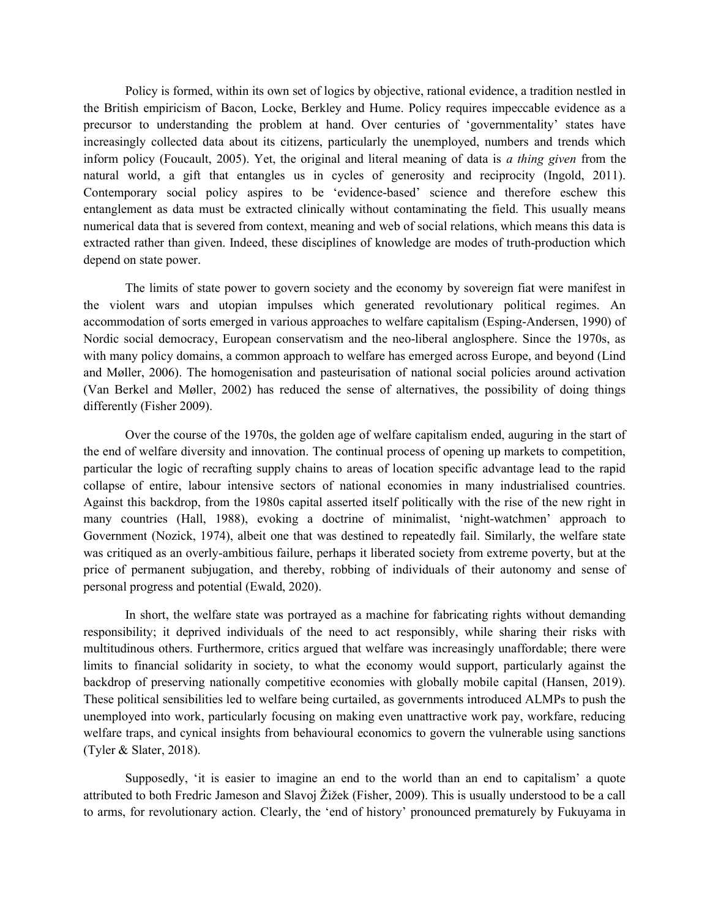Policy is formed, within its own set of logics by objective, rational evidence, a tradition nestled in the British empiricism of Bacon, Locke, Berkley and Hume. Policy requires impeccable evidence as a precursor to understanding the problem at hand. Over centuries of 'governmentality' states have increasingly collected data about its citizens, particularly the unemployed, numbers and trends which inform policy (Foucault, 2005). Yet, the original and literal meaning of data is *a thing given* from the natural world, a gift that entangles us in cycles of generosity and reciprocity (Ingold, 2011). Contemporary social policy aspires to be 'evidence-based' science and therefore eschew this entanglement as data must be extracted clinically without contaminating the field. This usually means numerical data that is severed from context, meaning and web of social relations, which means this data is extracted rather than given. Indeed, these disciplines of knowledge are modes of truth-production which depend on state power.

The limits of state power to govern society and the economy by sovereign fiat were manifest in the violent wars and utopian impulses which generated revolutionary political regimes. An accommodation of sorts emerged in various approaches to welfare capitalism (Esping-Andersen, 1990) of Nordic social democracy, European conservatism and the neo-liberal anglosphere. Since the 1970s, as with many policy domains, a common approach to welfare has emerged across Europe, and beyond (Lind and Møller, 2006). The homogenisation and pasteurisation of national social policies around activation (Van Berkel and Møller, 2002) has reduced the sense of alternatives, the possibility of doing things differently (Fisher 2009).

Over the course of the 1970s, the golden age of welfare capitalism ended, auguring in the start of the end of welfare diversity and innovation. The continual process of opening up markets to competition, particular the logic of recrafting supply chains to areas of location specific advantage lead to the rapid collapse of entire, labour intensive sectors of national economies in many industrialised countries. Against this backdrop, from the 1980s capital asserted itself politically with the rise of the new right in many countries (Hall, 1988), evoking a doctrine of minimalist, 'night-watchmen' approach to Government (Nozick, 1974), albeit one that was destined to repeatedly fail. Similarly, the welfare state was critiqued as an overly-ambitious failure, perhaps it liberated society from extreme poverty, but at the price of permanent subjugation, and thereby, robbing of individuals of their autonomy and sense of personal progress and potential (Ewald, 2020).

In short, the welfare state was portrayed as a machine for fabricating rights without demanding responsibility; it deprived individuals of the need to act responsibly, while sharing their risks with multitudinous others. Furthermore, critics argued that welfare was increasingly unaffordable; there were limits to financial solidarity in society, to what the economy would support, particularly against the backdrop of preserving nationally competitive economies with globally mobile capital (Hansen, 2019). These political sensibilities led to welfare being curtailed, as governments introduced ALMPs to push the unemployed into work, particularly focusing on making even unattractive work pay, workfare, reducing welfare traps, and cynical insights from behavioural economics to govern the vulnerable using sanctions (Tyler & Slater, 2018).

Supposedly, 'it is easier to imagine an end to the world than an end to capitalism' a quote attributed to both Fredric Jameson and Slavoj Žižek (Fisher, 2009). This is usually understood to be a call to arms, for revolutionary action. Clearly, the 'end of history' pronounced prematurely by Fukuyama in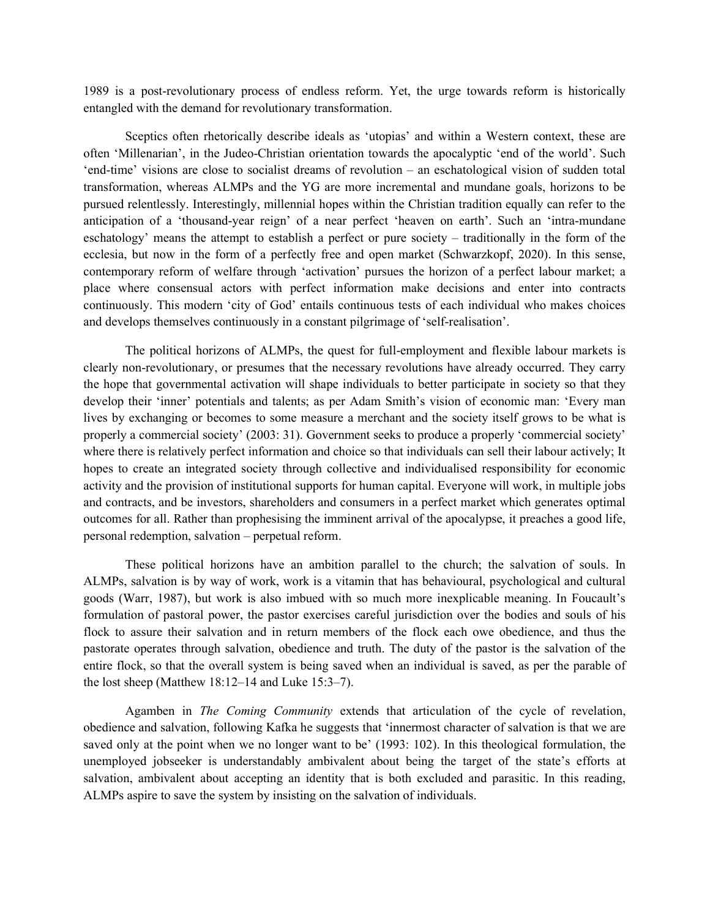1989 is a post-revolutionary process of endless reform. Yet, the urge towards reform is historically entangled with the demand for revolutionary transformation.

Sceptics often rhetorically describe ideals as 'utopias' and within a Western context, these are often 'Millenarian', in the Judeo-Christian orientation towards the apocalyptic 'end of the world'. Such 'end-time' visions are close to socialist dreams of revolution – an eschatological vision of sudden total transformation, whereas ALMPs and the YG are more incremental and mundane goals, horizons to be pursued relentlessly. Interestingly, millennial hopes within the Christian tradition equally can refer to the anticipation of a 'thousand-year reign' of a near perfect 'heaven on earth'. Such an 'intra-mundane eschatology' means the attempt to establish a perfect or pure society – traditionally in the form of the ecclesia, but now in the form of a perfectly free and open market (Schwarzkopf, 2020). In this sense, contemporary reform of welfare through 'activation' pursues the horizon of a perfect labour market; a place where consensual actors with perfect information make decisions and enter into contracts continuously. This modern 'city of God' entails continuous tests of each individual who makes choices and develops themselves continuously in a constant pilgrimage of 'self-realisation'.

The political horizons of ALMPs, the quest for full-employment and flexible labour markets is clearly non-revolutionary, or presumes that the necessary revolutions have already occurred. They carry the hope that governmental activation will shape individuals to better participate in society so that they develop their 'inner' potentials and talents; as per Adam Smith's vision of economic man: 'Every man lives by exchanging or becomes to some measure a merchant and the society itself grows to be what is properly a commercial society' (2003: 31). Government seeks to produce a properly 'commercial society' where there is relatively perfect information and choice so that individuals can sell their labour actively; It hopes to create an integrated society through collective and individualised responsibility for economic activity and the provision of institutional supports for human capital. Everyone will work, in multiple jobs and contracts, and be investors, shareholders and consumers in a perfect market which generates optimal outcomes for all. Rather than prophesising the imminent arrival of the apocalypse, it preaches a good life, personal redemption, salvation – perpetual reform.

These political horizons have an ambition parallel to the church; the salvation of souls. In ALMPs, salvation is by way of work, work is a vitamin that has behavioural, psychological and cultural goods (Warr, 1987), but work is also imbued with so much more inexplicable meaning. In Foucault's formulation of pastoral power, the pastor exercises careful jurisdiction over the bodies and souls of his flock to assure their salvation and in return members of the flock each owe obedience, and thus the pastorate operates through salvation, obedience and truth. The duty of the pastor is the salvation of the entire flock, so that the overall system is being saved when an individual is saved, as per the parable of the lost sheep (Matthew 18:12–14 and Luke 15:3–7).

Agamben in The Coming Community extends that articulation of the cycle of revelation, obedience and salvation, following Kafka he suggests that 'innermost character of salvation is that we are saved only at the point when we no longer want to be' (1993: 102). In this theological formulation, the unemployed jobseeker is understandably ambivalent about being the target of the state's efforts at salvation, ambivalent about accepting an identity that is both excluded and parasitic. In this reading, ALMPs aspire to save the system by insisting on the salvation of individuals.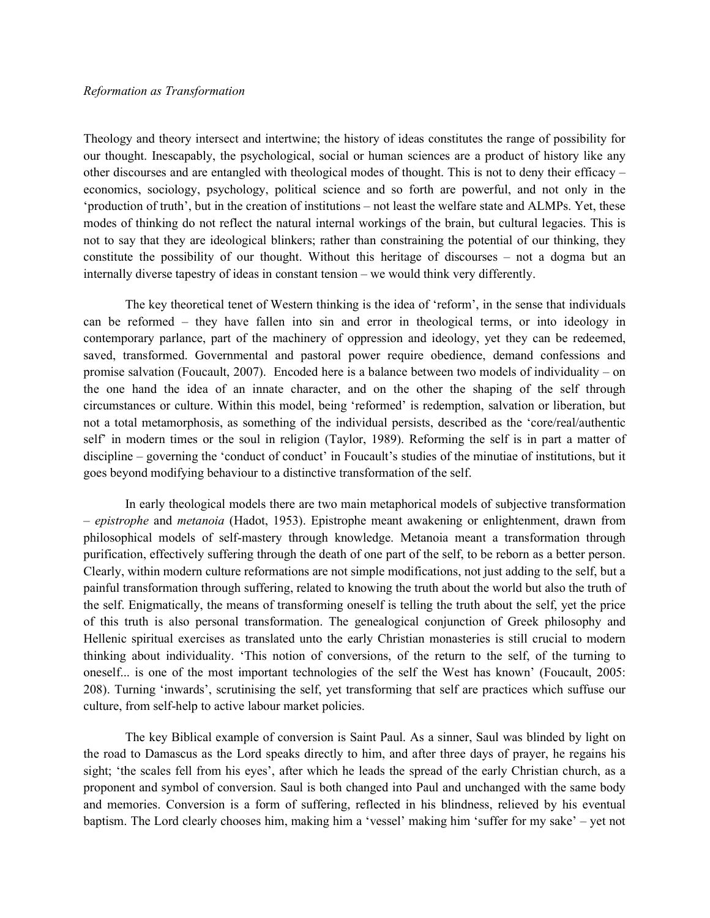#### Reformation as Transformation

Theology and theory intersect and intertwine; the history of ideas constitutes the range of possibility for our thought. Inescapably, the psychological, social or human sciences are a product of history like any other discourses and are entangled with theological modes of thought. This is not to deny their efficacy – economics, sociology, psychology, political science and so forth are powerful, and not only in the 'production of truth', but in the creation of institutions – not least the welfare state and ALMPs. Yet, these modes of thinking do not reflect the natural internal workings of the brain, but cultural legacies. This is not to say that they are ideological blinkers; rather than constraining the potential of our thinking, they constitute the possibility of our thought. Without this heritage of discourses – not a dogma but an internally diverse tapestry of ideas in constant tension – we would think very differently.

 The key theoretical tenet of Western thinking is the idea of 'reform', in the sense that individuals can be reformed – they have fallen into sin and error in theological terms, or into ideology in contemporary parlance, part of the machinery of oppression and ideology, yet they can be redeemed, saved, transformed. Governmental and pastoral power require obedience, demand confessions and promise salvation (Foucault, 2007). Encoded here is a balance between two models of individuality – on the one hand the idea of an innate character, and on the other the shaping of the self through circumstances or culture. Within this model, being 'reformed' is redemption, salvation or liberation, but not a total metamorphosis, as something of the individual persists, described as the 'core/real/authentic self' in modern times or the soul in religion (Taylor, 1989). Reforming the self is in part a matter of discipline – governing the 'conduct of conduct' in Foucault's studies of the minutiae of institutions, but it goes beyond modifying behaviour to a distinctive transformation of the self.

 In early theological models there are two main metaphorical models of subjective transformation – epistrophe and metanoia (Hadot, 1953). Epistrophe meant awakening or enlightenment, drawn from philosophical models of self-mastery through knowledge. Metanoia meant a transformation through purification, effectively suffering through the death of one part of the self, to be reborn as a better person. Clearly, within modern culture reformations are not simple modifications, not just adding to the self, but a painful transformation through suffering, related to knowing the truth about the world but also the truth of the self. Enigmatically, the means of transforming oneself is telling the truth about the self, yet the price of this truth is also personal transformation. The genealogical conjunction of Greek philosophy and Hellenic spiritual exercises as translated unto the early Christian monasteries is still crucial to modern thinking about individuality. 'This notion of conversions, of the return to the self, of the turning to oneself... is one of the most important technologies of the self the West has known' (Foucault, 2005: 208). Turning 'inwards', scrutinising the self, yet transforming that self are practices which suffuse our culture, from self-help to active labour market policies.

The key Biblical example of conversion is Saint Paul. As a sinner, Saul was blinded by light on the road to Damascus as the Lord speaks directly to him, and after three days of prayer, he regains his sight; 'the scales fell from his eyes', after which he leads the spread of the early Christian church, as a proponent and symbol of conversion. Saul is both changed into Paul and unchanged with the same body and memories. Conversion is a form of suffering, reflected in his blindness, relieved by his eventual baptism. The Lord clearly chooses him, making him a 'vessel' making him 'suffer for my sake' – yet not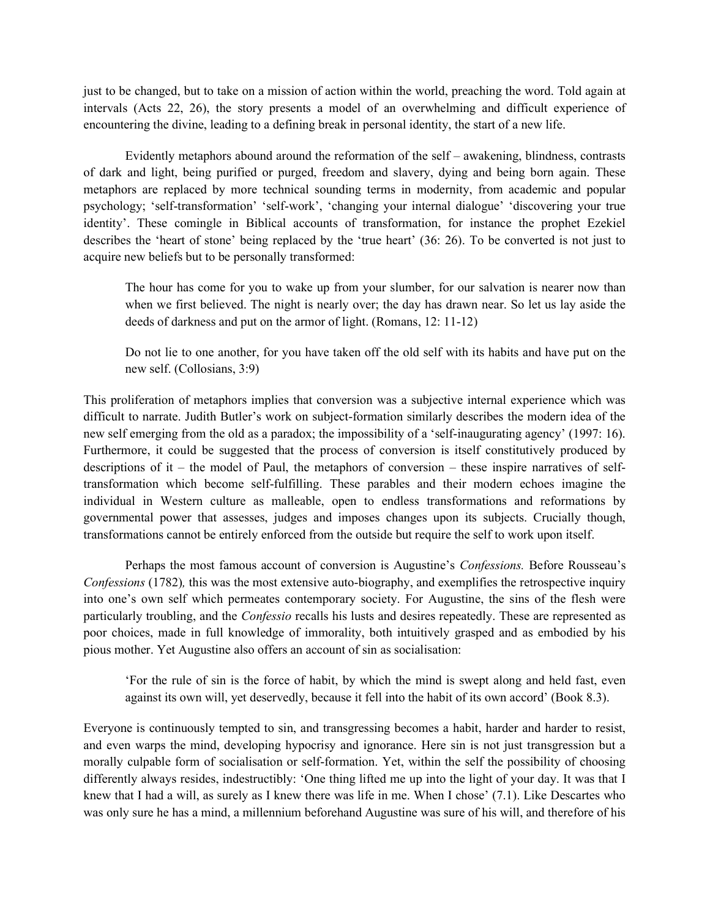just to be changed, but to take on a mission of action within the world, preaching the word. Told again at intervals (Acts 22, 26), the story presents a model of an overwhelming and difficult experience of encountering the divine, leading to a defining break in personal identity, the start of a new life.

 Evidently metaphors abound around the reformation of the self – awakening, blindness, contrasts of dark and light, being purified or purged, freedom and slavery, dying and being born again. These metaphors are replaced by more technical sounding terms in modernity, from academic and popular psychology; 'self-transformation' 'self-work', 'changing your internal dialogue' 'discovering your true identity'. These comingle in Biblical accounts of transformation, for instance the prophet Ezekiel describes the 'heart of stone' being replaced by the 'true heart' (36: 26). To be converted is not just to acquire new beliefs but to be personally transformed:

The hour has come for you to wake up from your slumber, for our salvation is nearer now than when we first believed. The night is nearly over; the day has drawn near. So let us lay aside the deeds of darkness and put on the armor of light. (Romans, 12: 11-12)

Do not lie to one another, for you have taken off the old self with its habits and have put on the new self. (Collosians, 3:9)

This proliferation of metaphors implies that conversion was a subjective internal experience which was difficult to narrate. Judith Butler's work on subject-formation similarly describes the modern idea of the new self emerging from the old as a paradox; the impossibility of a 'self-inaugurating agency' (1997: 16). Furthermore, it could be suggested that the process of conversion is itself constitutively produced by descriptions of it – the model of Paul, the metaphors of conversion – these inspire narratives of selftransformation which become self-fulfilling. These parables and their modern echoes imagine the individual in Western culture as malleable, open to endless transformations and reformations by governmental power that assesses, judges and imposes changes upon its subjects. Crucially though, transformations cannot be entirely enforced from the outside but require the self to work upon itself.

Perhaps the most famous account of conversion is Augustine's *Confessions*. Before Rousseau's Confessions (1782), this was the most extensive auto-biography, and exemplifies the retrospective inquiry into one's own self which permeates contemporary society. For Augustine, the sins of the flesh were particularly troubling, and the Confessio recalls his lusts and desires repeatedly. These are represented as poor choices, made in full knowledge of immorality, both intuitively grasped and as embodied by his pious mother. Yet Augustine also offers an account of sin as socialisation:

'For the rule of sin is the force of habit, by which the mind is swept along and held fast, even against its own will, yet deservedly, because it fell into the habit of its own accord' (Book 8.3).

Everyone is continuously tempted to sin, and transgressing becomes a habit, harder and harder to resist, and even warps the mind, developing hypocrisy and ignorance. Here sin is not just transgression but a morally culpable form of socialisation or self-formation. Yet, within the self the possibility of choosing differently always resides, indestructibly: 'One thing lifted me up into the light of your day. It was that I knew that I had a will, as surely as I knew there was life in me. When I chose' (7.1). Like Descartes who was only sure he has a mind, a millennium beforehand Augustine was sure of his will, and therefore of his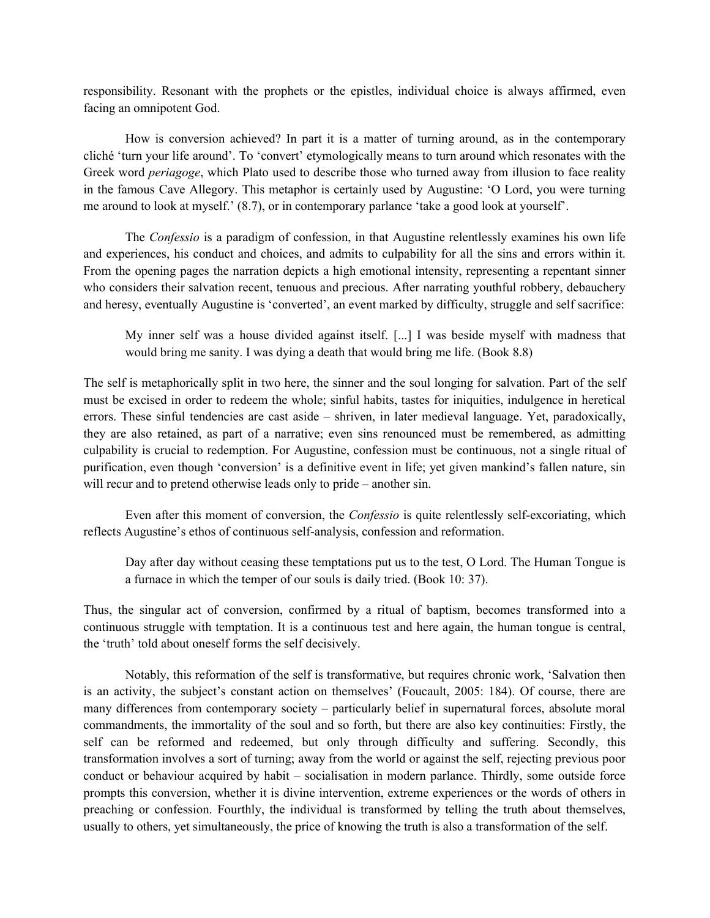responsibility. Resonant with the prophets or the epistles, individual choice is always affirmed, even facing an omnipotent God.

How is conversion achieved? In part it is a matter of turning around, as in the contemporary cliché 'turn your life around'. To 'convert' etymologically means to turn around which resonates with the Greek word periagoge, which Plato used to describe those who turned away from illusion to face reality in the famous Cave Allegory. This metaphor is certainly used by Augustine: 'O Lord, you were turning me around to look at myself.' (8.7), or in contemporary parlance 'take a good look at yourself'.

The *Confessio* is a paradigm of confession, in that Augustine relentlessly examines his own life and experiences, his conduct and choices, and admits to culpability for all the sins and errors within it. From the opening pages the narration depicts a high emotional intensity, representing a repentant sinner who considers their salvation recent, tenuous and precious. After narrating youthful robbery, debauchery and heresy, eventually Augustine is 'converted', an event marked by difficulty, struggle and self sacrifice:

My inner self was a house divided against itself. [...] I was beside myself with madness that would bring me sanity. I was dying a death that would bring me life. (Book 8.8)

The self is metaphorically split in two here, the sinner and the soul longing for salvation. Part of the self must be excised in order to redeem the whole; sinful habits, tastes for iniquities, indulgence in heretical errors. These sinful tendencies are cast aside – shriven, in later medieval language. Yet, paradoxically, they are also retained, as part of a narrative; even sins renounced must be remembered, as admitting culpability is crucial to redemption. For Augustine, confession must be continuous, not a single ritual of purification, even though 'conversion' is a definitive event in life; yet given mankind's fallen nature, sin will recur and to pretend otherwise leads only to pride – another sin.

Even after this moment of conversion, the *Confessio* is quite relentlessly self-excoriating, which reflects Augustine's ethos of continuous self-analysis, confession and reformation.

Day after day without ceasing these temptations put us to the test, O Lord. The Human Tongue is a furnace in which the temper of our souls is daily tried. (Book 10: 37).

Thus, the singular act of conversion, confirmed by a ritual of baptism, becomes transformed into a continuous struggle with temptation. It is a continuous test and here again, the human tongue is central, the 'truth' told about oneself forms the self decisively.

 Notably, this reformation of the self is transformative, but requires chronic work, 'Salvation then is an activity, the subject's constant action on themselves' (Foucault, 2005: 184). Of course, there are many differences from contemporary society – particularly belief in supernatural forces, absolute moral commandments, the immortality of the soul and so forth, but there are also key continuities: Firstly, the self can be reformed and redeemed, but only through difficulty and suffering. Secondly, this transformation involves a sort of turning; away from the world or against the self, rejecting previous poor conduct or behaviour acquired by habit – socialisation in modern parlance. Thirdly, some outside force prompts this conversion, whether it is divine intervention, extreme experiences or the words of others in preaching or confession. Fourthly, the individual is transformed by telling the truth about themselves, usually to others, yet simultaneously, the price of knowing the truth is also a transformation of the self.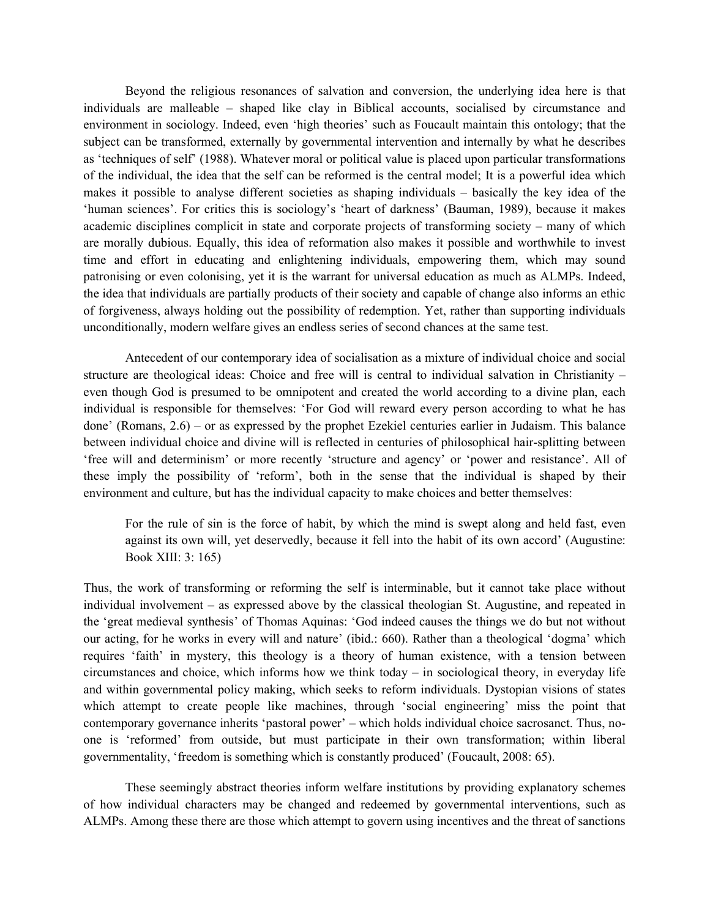Beyond the religious resonances of salvation and conversion, the underlying idea here is that individuals are malleable – shaped like clay in Biblical accounts, socialised by circumstance and environment in sociology. Indeed, even 'high theories' such as Foucault maintain this ontology; that the subject can be transformed, externally by governmental intervention and internally by what he describes as 'techniques of self' (1988). Whatever moral or political value is placed upon particular transformations of the individual, the idea that the self can be reformed is the central model; It is a powerful idea which makes it possible to analyse different societies as shaping individuals – basically the key idea of the 'human sciences'. For critics this is sociology's 'heart of darkness' (Bauman, 1989), because it makes academic disciplines complicit in state and corporate projects of transforming society – many of which are morally dubious. Equally, this idea of reformation also makes it possible and worthwhile to invest time and effort in educating and enlightening individuals, empowering them, which may sound patronising or even colonising, yet it is the warrant for universal education as much as ALMPs. Indeed, the idea that individuals are partially products of their society and capable of change also informs an ethic of forgiveness, always holding out the possibility of redemption. Yet, rather than supporting individuals unconditionally, modern welfare gives an endless series of second chances at the same test.

Antecedent of our contemporary idea of socialisation as a mixture of individual choice and social structure are theological ideas: Choice and free will is central to individual salvation in Christianity – even though God is presumed to be omnipotent and created the world according to a divine plan, each individual is responsible for themselves: 'For God will reward every person according to what he has done' (Romans, 2.6) – or as expressed by the prophet Ezekiel centuries earlier in Judaism. This balance between individual choice and divine will is reflected in centuries of philosophical hair-splitting between 'free will and determinism' or more recently 'structure and agency' or 'power and resistance'. All of these imply the possibility of 'reform', both in the sense that the individual is shaped by their environment and culture, but has the individual capacity to make choices and better themselves:

For the rule of sin is the force of habit, by which the mind is swept along and held fast, even against its own will, yet deservedly, because it fell into the habit of its own accord' (Augustine: Book XIII: 3: 165)

Thus, the work of transforming or reforming the self is interminable, but it cannot take place without individual involvement – as expressed above by the classical theologian St. Augustine, and repeated in the 'great medieval synthesis' of Thomas Aquinas: 'God indeed causes the things we do but not without our acting, for he works in every will and nature' (ibid.: 660). Rather than a theological 'dogma' which requires 'faith' in mystery, this theology is a theory of human existence, with a tension between circumstances and choice, which informs how we think today – in sociological theory, in everyday life and within governmental policy making, which seeks to reform individuals. Dystopian visions of states which attempt to create people like machines, through 'social engineering' miss the point that contemporary governance inherits 'pastoral power' – which holds individual choice sacrosanct. Thus, noone is 'reformed' from outside, but must participate in their own transformation; within liberal governmentality, 'freedom is something which is constantly produced' (Foucault, 2008: 65).

 These seemingly abstract theories inform welfare institutions by providing explanatory schemes of how individual characters may be changed and redeemed by governmental interventions, such as ALMPs. Among these there are those which attempt to govern using incentives and the threat of sanctions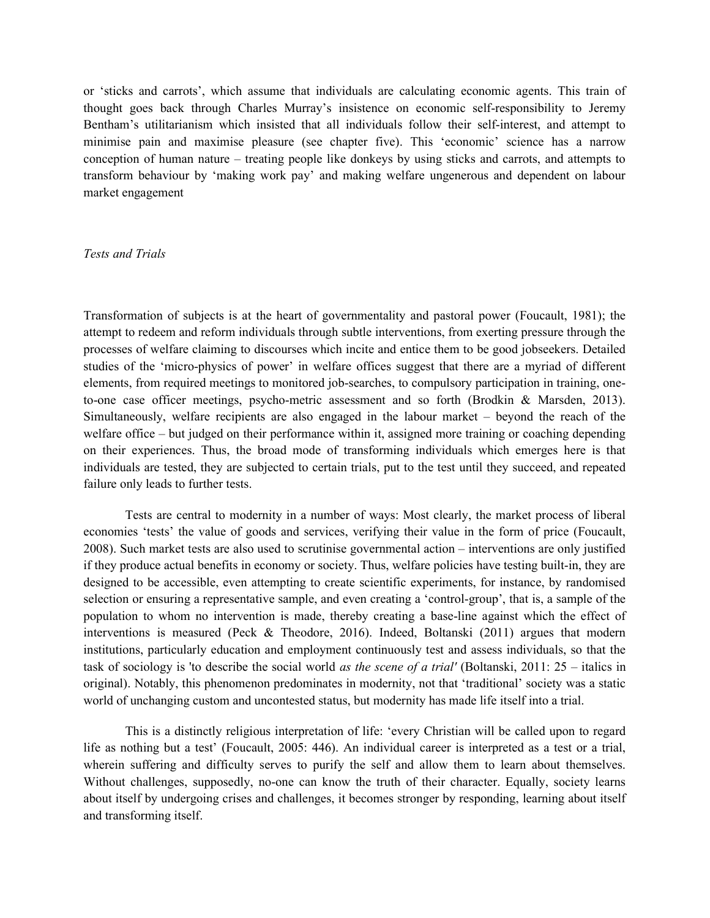or 'sticks and carrots', which assume that individuals are calculating economic agents. This train of thought goes back through Charles Murray's insistence on economic self-responsibility to Jeremy Bentham's utilitarianism which insisted that all individuals follow their self-interest, and attempt to minimise pain and maximise pleasure (see chapter five). This 'economic' science has a narrow conception of human nature – treating people like donkeys by using sticks and carrots, and attempts to transform behaviour by 'making work pay' and making welfare ungenerous and dependent on labour market engagement

#### Tests and Trials

Transformation of subjects is at the heart of governmentality and pastoral power (Foucault, 1981); the attempt to redeem and reform individuals through subtle interventions, from exerting pressure through the processes of welfare claiming to discourses which incite and entice them to be good jobseekers. Detailed studies of the 'micro-physics of power' in welfare offices suggest that there are a myriad of different elements, from required meetings to monitored job-searches, to compulsory participation in training, oneto-one case officer meetings, psycho-metric assessment and so forth (Brodkin & Marsden, 2013). Simultaneously, welfare recipients are also engaged in the labour market – beyond the reach of the welfare office – but judged on their performance within it, assigned more training or coaching depending on their experiences. Thus, the broad mode of transforming individuals which emerges here is that individuals are tested, they are subjected to certain trials, put to the test until they succeed, and repeated failure only leads to further tests.

 Tests are central to modernity in a number of ways: Most clearly, the market process of liberal economies 'tests' the value of goods and services, verifying their value in the form of price (Foucault, 2008). Such market tests are also used to scrutinise governmental action – interventions are only justified if they produce actual benefits in economy or society. Thus, welfare policies have testing built-in, they are designed to be accessible, even attempting to create scientific experiments, for instance, by randomised selection or ensuring a representative sample, and even creating a 'control-group', that is, a sample of the population to whom no intervention is made, thereby creating a base-line against which the effect of interventions is measured (Peck & Theodore, 2016). Indeed, Boltanski (2011) argues that modern institutions, particularly education and employment continuously test and assess individuals, so that the task of sociology is 'to describe the social world *as the scene of a trial'* (Boltanski, 2011:  $25$  – italics in original). Notably, this phenomenon predominates in modernity, not that 'traditional' society was a static world of unchanging custom and uncontested status, but modernity has made life itself into a trial.

 This is a distinctly religious interpretation of life: 'every Christian will be called upon to regard life as nothing but a test' (Foucault, 2005: 446). An individual career is interpreted as a test or a trial, wherein suffering and difficulty serves to purify the self and allow them to learn about themselves. Without challenges, supposedly, no-one can know the truth of their character. Equally, society learns about itself by undergoing crises and challenges, it becomes stronger by responding, learning about itself and transforming itself.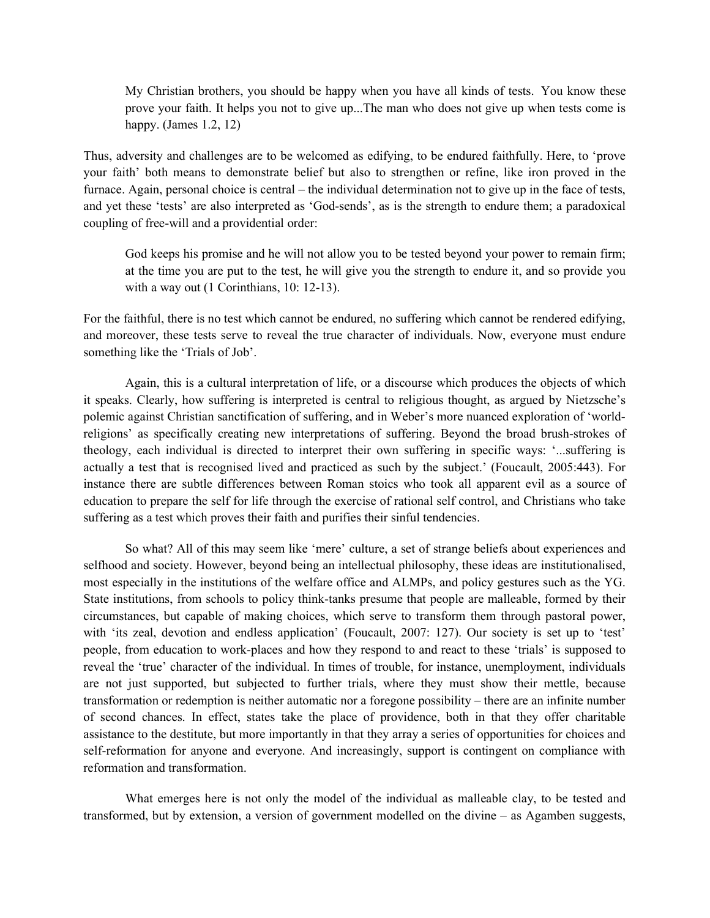My Christian brothers, you should be happy when you have all kinds of tests. You know these prove your faith. It helps you not to give up...The man who does not give up when tests come is happy. (James 1.2, 12)

Thus, adversity and challenges are to be welcomed as edifying, to be endured faithfully. Here, to 'prove your faith' both means to demonstrate belief but also to strengthen or refine, like iron proved in the furnace. Again, personal choice is central – the individual determination not to give up in the face of tests, and yet these 'tests' are also interpreted as 'God-sends', as is the strength to endure them; a paradoxical coupling of free-will and a providential order:

God keeps his promise and he will not allow you to be tested beyond your power to remain firm; at the time you are put to the test, he will give you the strength to endure it, and so provide you with a way out (1 Corinthians, 10: 12-13).

For the faithful, there is no test which cannot be endured, no suffering which cannot be rendered edifying, and moreover, these tests serve to reveal the true character of individuals. Now, everyone must endure something like the 'Trials of Job'.

 Again, this is a cultural interpretation of life, or a discourse which produces the objects of which it speaks. Clearly, how suffering is interpreted is central to religious thought, as argued by Nietzsche's polemic against Christian sanctification of suffering, and in Weber's more nuanced exploration of 'worldreligions' as specifically creating new interpretations of suffering. Beyond the broad brush-strokes of theology, each individual is directed to interpret their own suffering in specific ways: '...suffering is actually a test that is recognised lived and practiced as such by the subject.' (Foucault, 2005:443). For instance there are subtle differences between Roman stoics who took all apparent evil as a source of education to prepare the self for life through the exercise of rational self control, and Christians who take suffering as a test which proves their faith and purifies their sinful tendencies.

 So what? All of this may seem like 'mere' culture, a set of strange beliefs about experiences and selfhood and society. However, beyond being an intellectual philosophy, these ideas are institutionalised, most especially in the institutions of the welfare office and ALMPs, and policy gestures such as the YG. State institutions, from schools to policy think-tanks presume that people are malleable, formed by their circumstances, but capable of making choices, which serve to transform them through pastoral power, with 'its zeal, devotion and endless application' (Foucault, 2007: 127). Our society is set up to 'test' people, from education to work-places and how they respond to and react to these 'trials' is supposed to reveal the 'true' character of the individual. In times of trouble, for instance, unemployment, individuals are not just supported, but subjected to further trials, where they must show their mettle, because transformation or redemption is neither automatic nor a foregone possibility – there are an infinite number of second chances. In effect, states take the place of providence, both in that they offer charitable assistance to the destitute, but more importantly in that they array a series of opportunities for choices and self-reformation for anyone and everyone. And increasingly, support is contingent on compliance with reformation and transformation.

 What emerges here is not only the model of the individual as malleable clay, to be tested and transformed, but by extension, a version of government modelled on the divine – as Agamben suggests,